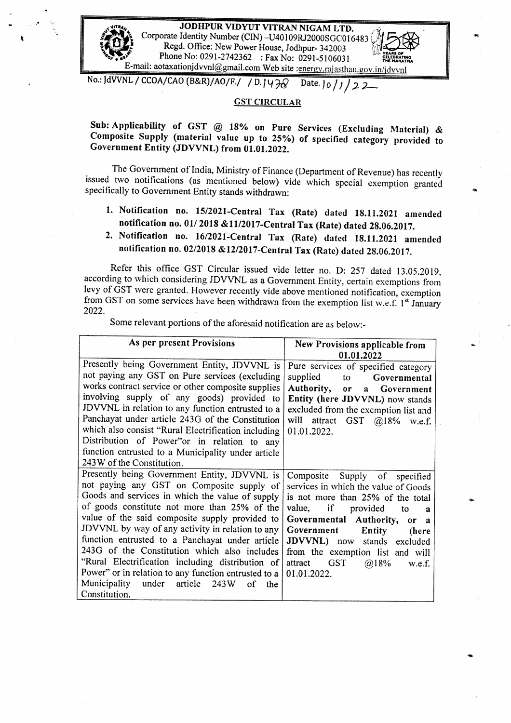

,•

**JODHPUR VIDYUT VITRAN NIGAM LTD.** Corporate Identity Number (CIN)-U40109RJ2000SGC016483 **Regd. Office: New Power House, Jodhpur- 342003** Phone No: 0291-2742362 : Fax No: 0291-5106031 E-mail: aotaxationjdvvnl@gmail.com Web site :energy.rajasthan.gov.in/jdvvnl<br>No.: JdVVNL / CCOA/CAO (B&R)/AO/F./ / D. | U <del>7</del><sub>0</sub> Date. | 0 / *J* / *7* 2

## **GST CIRCULAR**

**Sob: Applicability of GST** @ **18% on Pure Services (Excluding Material)** & **Composite Supply (material value up to 25%) of specified category provided to Government Entity (JDVVNL) from 01.01.2022.** 

The Government of India, Ministry of Finance (Department of Revenue) has recently issued two notifications (as mentioned below) vide which special exemption granted specifically to Government Entity stands withdrawn:

**1. Notification no. 15/2021-Central Tax (Rate) dated 18.11.2021 amended notification no. 01/ 2018 &11/2017-Central Tax (Rate) dated 28.06.2017.** 

## **2. Notification no. 16/2021-Central Tax (Rate) dated 18.ll.2021 amended**  notification no. 02/2018 &12/2017-Central Tax (Rate) dated 28.06.2017.

Refer this office GST Circular issued vide letter no. D: 257 dated 13.05.2019, according to which considering JDVVNL as a Government Entity, certain exemptions from levy of  $\widetilde{\mathrm{OST}}$  were granted. However recently vide above mentioned notification, exemption from GST on some services have been withdrawn from the exemption list w.e.f. 1<sup>st</sup> January 2022.

Some relevant portions of the aforesaid notification are as below.-

| As per present Provisions                             | New Provisions applicable from                 |
|-------------------------------------------------------|------------------------------------------------|
|                                                       | 01.01.2022                                     |
| Presently being Government Entity, JDVVNL is          | Pure services of specified category            |
| not paying any GST on Pure services (excluding        | supplied<br>to to<br>Governmental              |
| works contract service or other composite supplies    | Authority,<br>Government<br>or<br>$\mathbf{a}$ |
| involving supply of any goods) provided to            | Entity (here JDVVNL) now stands                |
| JDVVNL in relation to any function entrusted to a     | excluded from the exemption list and           |
| Panchayat under article 243G of the Constitution      | will attract GST @18% w.e.f.                   |
| which also consist "Rural Electrification including   | 01.01.2022.                                    |
| Distribution of Power"or in relation to any           |                                                |
| function entrusted to a Municipality under article    |                                                |
| 243W of the Constitution.                             |                                                |
| Presently being Government Entity, JDVVNL is          | Composite<br>Supply of specified               |
| not paying any GST on Composite supply of             | services in which the value of Goods           |
| Goods and services in which the value of supply       | is not more than 25% of the total              |
| of goods constitute not more than 25% of the          | value, if provided<br>to<br>я                  |
| value of the said composite supply provided to        | Governmental Authority,<br>or a                |
| JDVVNL by way of any activity in relation to any      | Government<br><b>Entity</b><br>(here           |
| function entrusted to a Panchayat under article       | JDVVNL) now stands excluded                    |
| 243G of the Constitution which also includes          | from the exemption list and will               |
| "Rural Electrification including distribution of      | <b>GST</b><br>attract<br>@18%<br>w.e.f.        |
| Power" or in relation to any function entrusted to a  | 01.01.2022.                                    |
| Municipality<br>under<br>article<br>243W<br>of<br>the |                                                |
| Constitution.                                         |                                                |